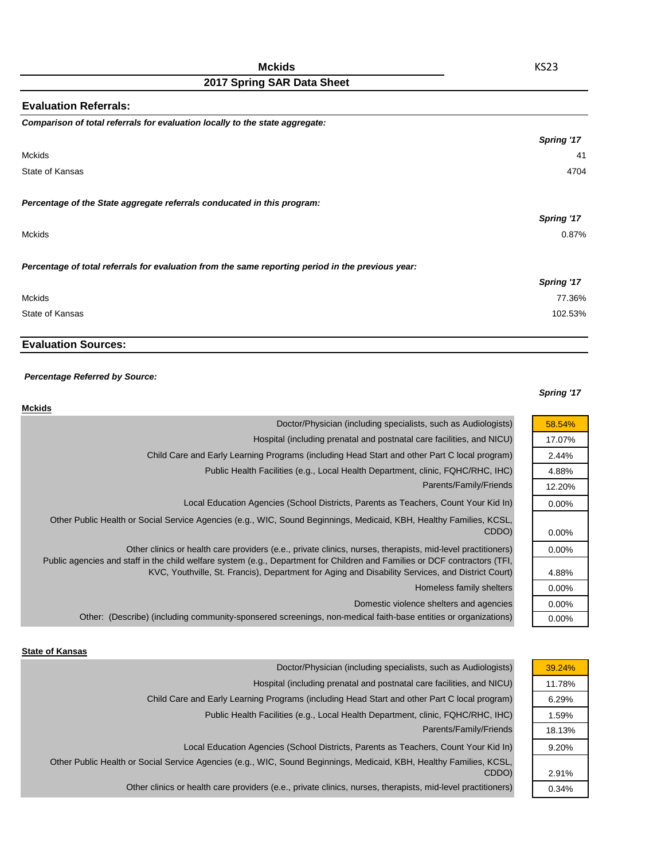| <b>Evaluation Referrals:</b>                                                                      |            |
|---------------------------------------------------------------------------------------------------|------------|
| Comparison of total referrals for evaluation locally to the state aggregate:                      |            |
|                                                                                                   | Spring '17 |
| <b>Mckids</b>                                                                                     | 41         |
| State of Kansas                                                                                   | 4704       |
| Percentage of the State aggregate referrals conducated in this program:                           |            |
|                                                                                                   | Spring '17 |
| <b>Mckids</b>                                                                                     | 0.87%      |
| Percentage of total referrals for evaluation from the same reporting period in the previous year: |            |
|                                                                                                   | Spring '17 |
| Mckids                                                                                            | 77.36%     |
| State of Kansas                                                                                   | 102.53%    |

# **Evaluation Sources:**

### *Percentage Referred by Source:*

### *Spring '17*

| <b>Mckids</b>                                                                                                                                                                                                                             |                   |
|-------------------------------------------------------------------------------------------------------------------------------------------------------------------------------------------------------------------------------------------|-------------------|
| Doctor/Physician (including specialists, such as Audiologists)                                                                                                                                                                            | 58.54%            |
| Hospital (including prenatal and postnatal care facilities, and NICU)                                                                                                                                                                     | 17.07%            |
| Child Care and Early Learning Programs (including Head Start and other Part C local program)                                                                                                                                              | 2.44%             |
| Public Health Facilities (e.g., Local Health Department, clinic, FQHC/RHC, IHC)                                                                                                                                                           | 4.88%             |
| Parents/Family/Friends                                                                                                                                                                                                                    | 12.20%            |
| Local Education Agencies (School Districts, Parents as Teachers, Count Your Kid In)                                                                                                                                                       | $0.00\%$          |
| Other Public Health or Social Service Agencies (e.g., WIC, Sound Beginnings, Medicaid, KBH, Healthy Families, KCSL,<br>CDDO)                                                                                                              | $0.00\%$          |
| Other clinics or health care providers (e.e., private clinics, nurses, therapists, mid-level practitioners)<br>Public agencies and staff in the child welfare system (e.g., Department for Children and Families or DCF contractors (TFI, | $0.00\%$          |
| KVC, Youthville, St. Francis), Department for Aging and Disability Services, and District Court)<br>Homeless family shelters                                                                                                              | 4.88%<br>$0.00\%$ |
| Domestic violence shelters and agencies                                                                                                                                                                                                   | $0.00\%$          |
| Other: (Describe) (including community-sponsered screenings, non-medical faith-base entities or organizations)                                                                                                                            | $0.00\%$          |

#### **State of Kansas**

| Doctor/Physician (including specialists, such as Audiologists)                                                      | 39.24% |
|---------------------------------------------------------------------------------------------------------------------|--------|
| Hospital (including prenatal and postnatal care facilities, and NICU)                                               | 11.78% |
| Child Care and Early Learning Programs (including Head Start and other Part C local program)                        | 6.29%  |
| Public Health Facilities (e.g., Local Health Department, clinic, FQHC/RHC, IHC)                                     | 1.59%  |
| Parents/Family/Friends                                                                                              | 18.13% |
| Local Education Agencies (School Districts, Parents as Teachers, Count Your Kid In)                                 | 9.20%  |
| Other Public Health or Social Service Agencies (e.g., WIC, Sound Beginnings, Medicaid, KBH, Healthy Families, KCSL, |        |
| CDDO)                                                                                                               | 2.91%  |
| Other clinics or health care providers (e.e., private clinics, nurses, therapists, mid-level practitioners)         | 0.34%  |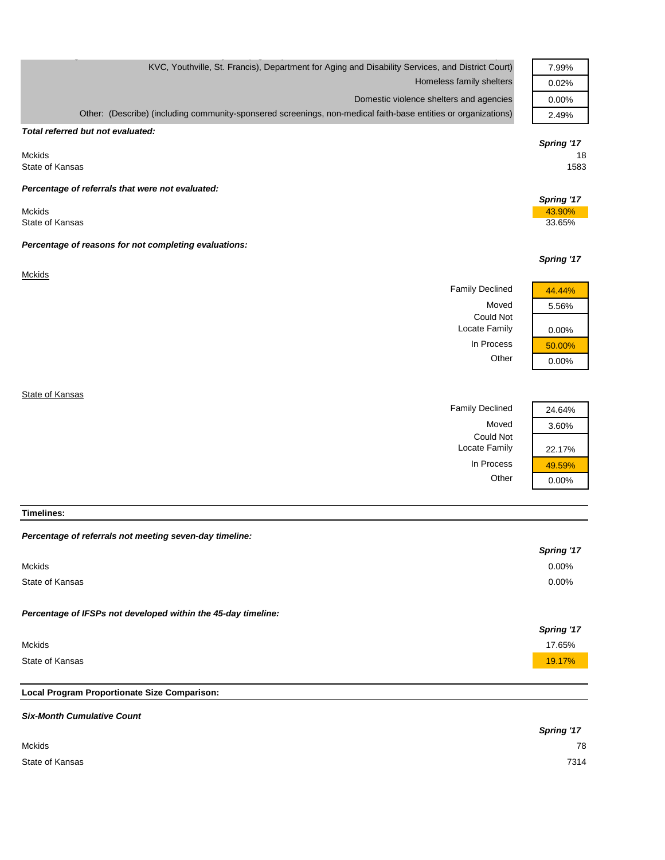| KVC, Youthville, St. Francis), Department for Aging and Disability Services, and District Court)               | 7.99%      |
|----------------------------------------------------------------------------------------------------------------|------------|
| Homeless family shelters                                                                                       | 0.02%      |
| Domestic violence shelters and agencies                                                                        | 0.00%      |
| Other: (Describe) (including community-sponsered screenings, non-medical faith-base entities or organizations) | 2.49%      |
| Total referred but not evaluated:                                                                              |            |
|                                                                                                                | Spring '17 |
| <b>Mckids</b>                                                                                                  | 18         |
| State of Kansas                                                                                                | 1583       |
| Percentage of referrals that were not evaluated:                                                               |            |
|                                                                                                                | Spring '17 |
| <b>Mckids</b>                                                                                                  | 43.90%     |
| State of Kansas                                                                                                | 33.65%     |
| Percentage of reasons for not completing evaluations:                                                          |            |
|                                                                                                                | Spring '17 |
| <b>Mckids</b>                                                                                                  |            |
| <b>Family Declined</b>                                                                                         | 44.44%     |
| Moved                                                                                                          | 5.56%      |
| <b>Could Not</b>                                                                                               |            |
| Locate Family                                                                                                  | 0.00%      |
| In Process                                                                                                     | 50.00%     |
| Other                                                                                                          | 0.00%      |
|                                                                                                                |            |
| State of Kansas                                                                                                |            |
| <b>Family Declined</b>                                                                                         | 24.64%     |
| Moved                                                                                                          | 3.60%      |
| Could Not                                                                                                      |            |
| Locate Family                                                                                                  | 22.17%     |

**Timelines:**

| Percentage of referrals not meeting seven-day timeline:       |            |
|---------------------------------------------------------------|------------|
|                                                               | Spring '17 |
| <b>Mckids</b>                                                 | $0.00\%$   |
| State of Kansas                                               | 0.00%      |
| Percentage of IFSPs not developed within the 45-day timeline: |            |
|                                                               |            |
|                                                               | Spring '17 |
| <b>Mckids</b>                                                 | 17.65%     |
| State of Kansas                                               | 19.17%     |
|                                                               |            |
| Local Program Proportionate Size Comparison:                  |            |
| <b>Six-Month Cumulative Count</b>                             |            |

In Process  $\frac{49.59\%}{0.00\%}$ 

 $0.00%$ 

|                 | <b>Spring '17</b> |
|-----------------|-------------------|
| Mckids          | 78                |
| State of Kansas | 7314              |